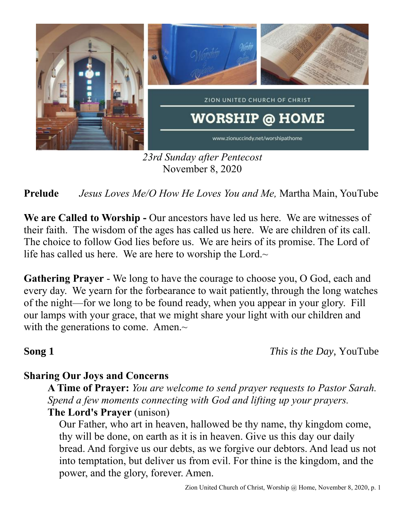

*23rd Sunday after Pentecost* November 8, 2020

**Prelude** *Jesus Loves Me/O How He Loves You and Me,* Martha Main, YouTube

**We are Called to Worship -** Our ancestors have led us here. We are witnesses of their faith. The wisdom of the ages has called us here. We are children of its call. The choice to follow God lies before us. We are heirs of its promise. The Lord of life has called us here. We are here to worship the Lord. $\sim$ 

**Gathering Prayer** - We long to have the courage to choose you, O God, each and every day. We yearn for the forbearance to wait patiently, through the long watches of the night—for we long to be found ready, when you appear in your glory. Fill our lamps with your grace, that we might share your light with our children and with the generations to come. Amen.~

**Song 1** *This is the Day*, YouTube

## **Sharing Our Joys and Concerns**

**A Time of Prayer:** *You are welcome to send prayer requests to Pastor Sarah. Spend a few moments connecting with God and lifting up your prayers.* **The Lord's Prayer** (unison)

Our Father, who art in heaven, hallowed be thy name, thy kingdom come, thy will be done, on earth as it is in heaven. Give us this day our daily bread. And forgive us our debts, as we forgive our debtors. And lead us not into temptation, but deliver us from evil. For thine is the kingdom, and the power, and the glory, forever. Amen.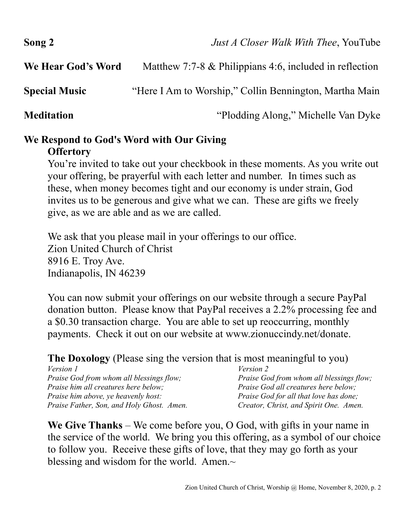| Song 2               | <i>Just A Closer Walk With Thee, YouTube</i>               |
|----------------------|------------------------------------------------------------|
| We Hear God's Word   | Matthew 7:7-8 $\&$ Philippians 4:6, included in reflection |
| <b>Special Music</b> | "Here I Am to Worship," Collin Bennington, Martha Main     |
| <b>Meditation</b>    | "Plodding Along," Michelle Van Dyke                        |

## **We Respond to God's Word with Our Giving**

## **Offertory**

You're invited to take out your checkbook in these moments. As you write out your offering, be prayerful with each letter and number. In times such as these, when money becomes tight and our economy is under strain, God invites us to be generous and give what we can. These are gifts we freely give, as we are able and as we are called.

We ask that you please mail in your offerings to our office. Zion United Church of Christ 8916 E. Troy Ave. Indianapolis, IN 46239

You can now submit your offerings on our website through a secure PayPal donation button. Please know that PayPal receives a 2.2% processing fee and a \$0.30 transaction charge. You are able to set up reoccurring, monthly payments. Check it out on our website at www.zionuccindy.net/donate.

**The Doxology** (Please sing the version that is most meaningful to you)

| <i>Version 1</i>                           | <i>Version 2</i>                                |
|--------------------------------------------|-------------------------------------------------|
| Praise God from whom all blessings flow;   | <i>Praise God from whom all blessings flow;</i> |
| Praise him all creatures here below;       | Praise God all creatures here below;            |
| <i>Praise him above, ye heavenly host:</i> | <i>Praise God for all that love has done;</i>   |
| Praise Father, Son, and Holy Ghost. Amen.  | Creator, Christ, and Spirit One. Amen.          |

**We Give Thanks** – We come before you, O God, with gifts in your name in the service of the world. We bring you this offering, as a symbol of our choice to follow you. Receive these gifts of love, that they may go forth as your blessing and wisdom for the world. Amen. $\sim$